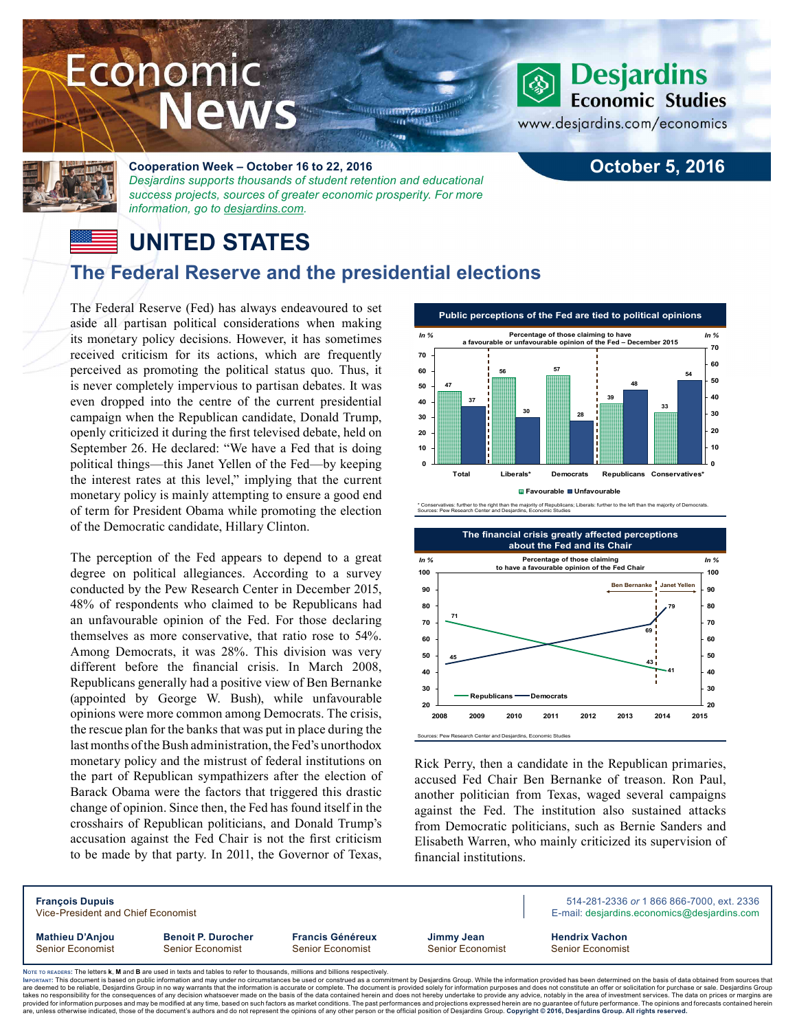# Economic **News**

**THEREADERS NOTE STEEL HTI** 

### **Desjardins Economic Studies**

**October 5, 2016**

www.desjardins.com/economics



#### **Cooperation Week – October 16 to 22, 2016** *Desjardins supports thousands of student retention and educational*

*success projects, sources of greater economic prosperity. For more information, go to [desjardins.com](https://www.desjardins.com/ca/co-opme/desjardins-difference/co-op-week/index.jsp).*

# **UNITED STATES**

## **The Federal Reserve and the presidential elections**

The Federal Reserve (Fed) has always endeavoured to set aside all partisan political considerations when making its monetary policy decisions. However, it has sometimes received criticism for its actions, which are frequently perceived as promoting the political status quo. Thus, it is never completely impervious to partisan debates. It was even dropped into the centre of the current presidential campaign when the Republican candidate, Donald Trump, openly criticized it during the first televised debate, held on September 26. He declared: "We have a Fed that is doing political things—this Janet Yellen of the Fed—by keeping the interest rates at this level," implying that the current monetary policy is mainly attempting to ensure a good end of term for President Obama while promoting the election of the Democratic candidate, Hillary Clinton.

The perception of the Fed appears to depend to a great degree on political allegiances. According to a survey conducted by the Pew Research Center in December 2015, 48% of respondents who claimed to be Republicans had an unfavourable opinion of the Fed. For those declaring themselves as more conservative, that ratio rose to 54%. Among Democrats, it was 28%. This division was very different before the financial crisis. In March 2008, Republicans generally had a positive view of Ben Bernanke (appointed by George W. Bush), while unfavourable opinions were more common among Democrats. The crisis, the rescue plan for the banks that was put in place during the last months of the Bush administration, the Fed's unorthodox monetary policy and the mistrust of federal institutions on the part of Republican sympathizers after the election of Barack Obama were the factors that triggered this drastic change of opinion. Since then, the Fed has found itself in the crosshairs of Republican politicians, and Donald Trump's accusation against the Fed Chair is not the first criticism to be made by that party. In 2011, the Governor of Texas,



\* Conservatives: further to the right than the majority of Republicans; Liberals: further to the left than the majority of Democrats. Sources: Pew Research Center and Desjardins, Economic Studies



Rick Perry, then a candidate in the Republican primaries, accused Fed Chair Ben Bernanke of treason. Ron Paul, another politician from Texas, waged several campaigns against the Fed. The institution also sustained attacks from Democratic politicians, such as Bernie Sanders and Elisabeth Warren, who mainly criticized its supervision of financial institutions.

| <b>François Dupuis</b><br>Vice-President and Chief Economist                                                                |                                                      |                                             |                                       |  | 514-281-2336 or 1 866 866-7000, ext. 2336<br>E-mail: desjardins.economics@desjardins.com |
|-----------------------------------------------------------------------------------------------------------------------------|------------------------------------------------------|---------------------------------------------|---------------------------------------|--|------------------------------------------------------------------------------------------|
| <b>Mathieu D'Anjou</b><br><b>Senior Economist</b>                                                                           | <b>Benoit P. Durocher</b><br><b>Senior Economist</b> | <b>Francis Généreux</b><br>Senior Economist | Jimmy Jean<br><b>Senior Economist</b> |  | <b>Hendrix Vachon</b><br><b>Senior Economist</b>                                         |
| ore to peanepe: The letters k M and R are used in texts and tables to refer to thousands millions and billions respectively |                                                      |                                             |                                       |  |                                                                                          |

Noте то келоекs: The letters **k, M** and **B** are used in texts and tables to refer to thousands, millions and billions respectively.<br>Імроктлит: This document is based on public information and may under no circumstances be are deemed to be reliable. Desiardins Group in no way warrants that the information is accurate or complete. The document is provided solely for information purposes and does not constitute an offer or solicitation for pur takes no responsibility for the consequences of any decision whatsoever made on the basis of the data contained herein and does not hereby undertake to provide any advice, notably in the area of investment services. The da .<br>are, unless otherwise indicated, those of the document's authors and do not represent the opinions of any other person or the official position of Desjardins Group. Copyright © 2016, Desjardins Group. All rights reserve